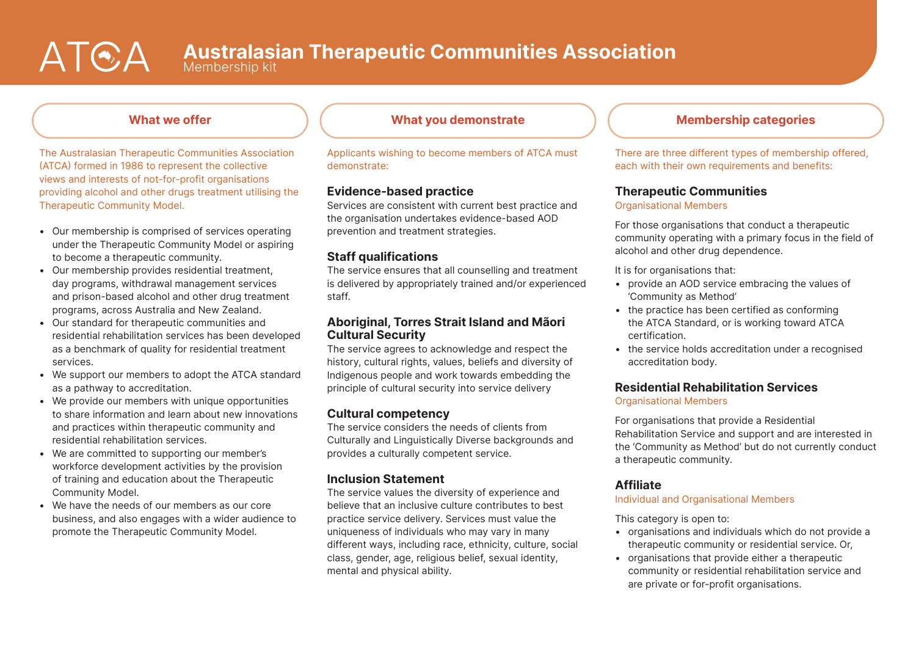# ATEA

Membership kit

# What we offer

The Australasian Therapeutic Communities Association (ATCA) formed in 1986 to represent the collective views and interests of not-for-profit organisations providing alcohol and other drugs treatment utilising the Therapeutic Community Model.

- Our membership is comprised of services operating under the Therapeutic Community Model or aspiring to become a therapeutic community.
- Our membership provides residential treatment, day programs, withdrawal management services and prison-based alcohol and other drug treatment programs, across Australia and New Zealand.
- Our standard for therapeutic communities and residential rehabilitation services has been developed as a benchmark of quality for residential treatment services.
- We support our members to adopt the ATCA standard as a pathway to accreditation.
- We provide our members with unique opportunities to share information and learn about new innovations and practices within therapeutic community and residential rehabilitation services.
- We are committed to supporting our member's workforce development activities by the provision of training and education about the Therapeutic Community Model.
- We have the needs of our members as our core business, and also engages with a wider audience to promote the Therapeutic Community Model.

Applicants wishing to become members of ATCA must demonstrate:

# Evidence-based practice

Services are consistent with current best practice and the organisation undertakes evidence-based AOD prevention and treatment strategies.

# Staff qualifications

The service ensures that all counselling and treatment is delivered by appropriately trained and/or experienced staff.

## Aboriginal, Torres Strait Island and Mãori Cultural Security

The service agrees to acknowledge and respect the history, cultural rights, values, beliefs and diversity of Indigenous people and work towards embedding the principle of cultural security into service delivery

# Cultural competency

The service considers the needs of clients from Culturally and Linguistically Diverse backgrounds and provides a culturally competent service.

# Inclusion Statement

The service values the diversity of experience and believe that an inclusive culture contributes to best practice service delivery. Services must value the uniqueness of individuals who may vary in many different ways, including race, ethnicity, culture, social class, gender, age, religious belief, sexual identity, mental and physical ability.

# What you demonstrate  $\parallel$   $\parallel$  Membership categories

There are three different types of membership offered, each with their own requirements and benefits:

# Therapeutic Communities

#### Organisational Members

For those organisations that conduct a therapeutic community operating with a primary focus in the field of alcohol and other drug dependence.

It is for organisations that:

- provide an AOD service embracing the values of 'Community as Method'
- the practice has been certified as conforming the ATCA Standard, or is working toward ATCA certification.
- the service holds accreditation under a recognised accreditation body.

### Residential Rehabilitation Services Organisational Members

For organisations that provide a Residential Rehabilitation Service and support and are interested in the 'Community as Method' but do not currently conduct a therapeutic community.

# **Affiliate**

#### Individual and Organisational Members

This category is open to:

- organisations and individuals which do not provide a therapeutic community or residential service. Or,
- organisations that provide either a therapeutic community or residential rehabilitation service and are private or for-profit organisations.